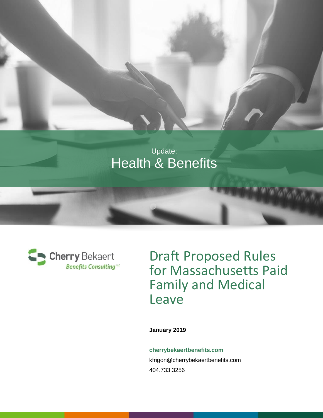



Draft Proposed Rules for Massachusetts Paid Family and Medical Leave

**January 2019**

**cherrybekaertbenefits.com** [kfrigon@cherrybekaertbenefits.com](mailto:kfrigon@cherrybekaertbenefits.com?subject=Cherry%20Bekaert%20Benefits%20Consulting%20Inquiry) 404.733.3256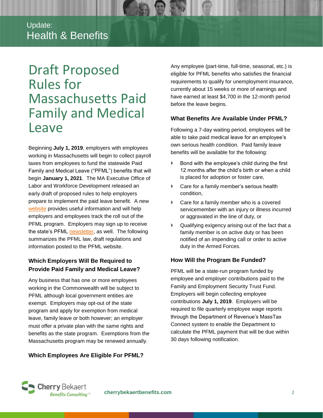# Draft Proposed Rules for Massachusetts Paid Family and Medical Leave

Beginning **July 1, 2019**, employers with employees working in Massachusetts will begin to collect payroll taxes from employees to fund the statewide Paid Family and Medical Leave ("PFML") benefits that will begin **January 1, 2021**. The MA Executive Office of Labor and Workforce Development released an early draft of proposed rules to help employers prepare to implement the paid leave benefit. A new [website](https://www.mass.gov/orgs/department-of-family-and-medical-leave) provides useful information and will help employers and employees track the roll out of the PFML program. Employers may sign up to receive the state's PFML [newsletter,](https://mass.us18.list-manage.com/subscribe?u=0757f7959581770082e8f2fd9&id=c088ecb18f) as well. The following summarizes the PFML law, draft regulations and information posted to the PFML website.

# **Which Employers Will Be Required to Provide Paid Family and Medical Leave?**

Any business that has one or more employees working in the Commonwealth will be subject to PFML although local government entities are exempt. Employers may opt-out of the state program and apply for exemption from medical leave, family leave or both however; an employer must offer a private plan with the same rights and benefits as the state program. Exemptions from the Massachusetts program may be renewed annually.

# **Which Employees Are Eligible For PFML?**

Any employee (part-time, full-time, seasonal, etc.) is eligible for PFML benefits who satisfies the financial requirements to qualify for unemployment insurance, currently about 15 weeks or more of earnings and have earned at least \$4,700 in the 12-month period before the leave begins.

### **What Benefits Are Available Under PFML?**

Following a 7-day waiting period, employees will be able to take paid medical leave for an employee's own serious health condition. Paid family leave benefits will be available for the following:

- Bond with the employee's child during the first 12 months after the child's birth or when a child is placed for adoption or foster care,
- Care for a family member's serious health condition,
- Care for a family member who is a covered servicemember with an injury or illness incurred or aggravated in the line of duty, or
- $\blacktriangleright$  Qualifying exigency arising out of the fact that a family member is on active duty or has been notified of an impending call or order to active duty in the Armed Forces.

# **How Will the Program Be Funded?**

PFML will be a state-run program funded by employee and employer contributions paid to the Family and Employment Security Trust Fund. Employers will begin collecting employee contributions **July 1, 2019**. Employers will be required to file quarterly employee wage reports through the Department of Revenue's MassTax Connect system to enable the Department to calculate the PFML payment that will be due within 30 days following notification.

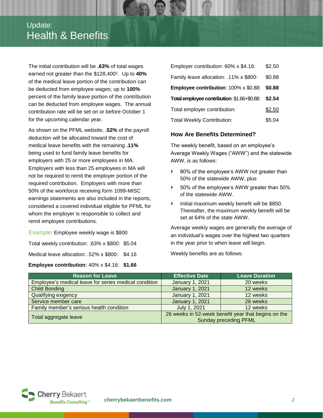# Update: Health & Benefits

The initial contribution will be **.63%** of total wages earned not greater than the \$128,400<sup>1</sup>. Up to 40% of the medical leave portion of the contribution can be deducted from employee wages; up to **100%** percent of the family leave portion of the contribution can be deducted from employee wages. The annual contribution rate will be set on or before October 1 for the upcoming calendar year.

As shown on the PFML website, **.52%** of the payroll deduction will be allocated toward the cost of medical leave benefits with the remaining **.11%** being used to fund family leave benefits for employers with 25 or more employees in MA. Employers with less than 25 employees in MA will not be required to remit the employer portion of the required contribution. Employers with more than 50% of the workforce receiving form 1099-MISC earnings statements are also included in the reports, considered a covered individual eligible for PFML for whom the employer is responsible to collect and remit employee contributions.

*Example*: Employee weekly wage is \$800 Total weekly contribution: .63% x \$800: \$5.04 Medical leave allocation: .52% x \$800: \$4.16 **Employee contribution**: 40% x \$4.16: **\$1.66**

| Employer contribution: 60% x \$4.16:         | \$2.50 |
|----------------------------------------------|--------|
| Family leave allocation: .11% x \$800:       | \$0.88 |
| <b>Employee contribution: 100% x \$0.88:</b> | \$0.88 |
| Total employee contribution: \$1.66+\$0.88:  | \$2.54 |
| Total employer contribution:                 | \$2.50 |
| <b>Total Weekly Contribution:</b>            | \$5.04 |

#### **How Are Benefits Determined?**

The weekly benefit, based on an employee's Average Weekly Wages ("AWW") and the statewide AWW, is as follows:

- 80% of the employee's AWW not greater than 50% of the statewide AWW, plus
- ▶ 50% of the employee's AWW greater than 50% of the statewide AWW.
- **Initial maximum weekly benefit will be \$850.** Thereafter, the maximum weekly benefit will be set at 64% of the state AWW.

Average weekly wages are generally the average of an individual's wages over the highest two quarters in the year prior to when leave will begin.

Weekly benefits are as follows:

| <b>Reason for Leave</b>                               | <b>Effective Date</b>                                                               | <b>Leave Duration</b> |
|-------------------------------------------------------|-------------------------------------------------------------------------------------|-----------------------|
| Employee's medical leave for series medical condition | <b>January 1, 2021</b>                                                              | 20 weeks              |
| <b>Child Bonding</b>                                  | <b>January 1, 2021</b>                                                              | 12 weeks              |
| Qualifying exigency                                   | <b>January 1, 2021</b>                                                              | 12 weeks              |
| Service member care                                   | <b>January 1, 2021</b>                                                              | 26 weeks              |
| Family member's serious health condition              | July 1, 2021                                                                        | 12 weeks              |
| Total aggregate leave                                 | 26 weeks in 52-week benefit year that begins on the<br><b>Sunday preceding PFML</b> |                       |

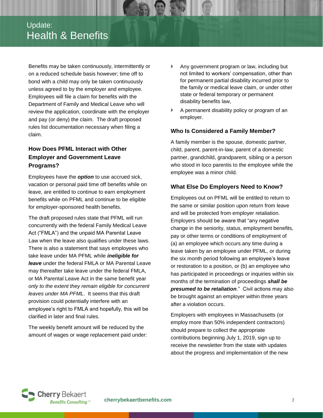# Update: Health & Benefits

Benefits may be taken continuously, intermittently or on a reduced schedule basis however; time off to bond with a child may only be taken continuously unless agreed to by the employer and employee. Employees will file a claim for benefits with the Department of Family and Medical Leave who will review the application, coordinate with the employer and pay (or deny) the claim. The draft proposed rules list documentation necessary when filing a claim.

# **How Does PFML Interact with Other Employer and Government Leave Programs?**

Employees have the *option* to use accrued sick, vacation or personal paid time off benefits while on leave, are entitled to continue to earn employment benefits while on PFML and continue to be eligible for employer-sponsored health benefits.

The draft proposed rules state that PFML will run concurrently with the federal Family Medical Leave Act ("FMLA") and the unpaid MA Parental Leave Law when the leave also qualifies under these laws. There is also a statement that says employees who take leave under MA PFML while *ineligible for leave* under the federal FMLA or MA Parental Leave may thereafter take leave under the federal FMLA, or MA Parental Leave Act in the same benefit year *only to the extent they remain eligible for concurrent leaves under MA PFML*. It seems that this draft provision could potentially interfere with an employee's right to FMLA and hopefully, this will be clarified in later and final rules.

The weekly benefit amount will be reduced by the amount of wages or wage replacement paid under:

- Any government program or law, including but not limited to workers' compensation, other than for permanent partial disability incurred prior to the family or medical leave claim, or under other state or federal temporary or permanent disability benefits law,
- A permanent disability policy or program of an employer.

### **Who Is Considered a Family Member?**

A family member is the spouse, domestic partner, child, parent, parent-in-law, parent of a domestic partner, grandchild, grandparent, sibling or a person who stood in loco parentis to the employee while the employee was a minor child.

## **What Else Do Employers Need to Know?**

Employees out on PFML will be entitled to return to the same or similar position upon return from leave and will be protected from employer retaliation. Employers should be aware that "any negative change in the seniority, status, employment benefits, pay or other terms or conditions of employment of (a) an employee which occurs any time during a leave taken by an employee under PFML, or during the six month period following an employee's leave or restoration to a position, or (b) an employee who has participated in proceedings or inquiries within six months of the termination of proceedings *shall be presumed to be retaliation*." Civil actions may also be brought against an employer within three years after a violation occurs.

Employers with employees in Massachusetts (or employ more than 50% independent contractors) should prepare to collect the appropriate contributions beginning July 1, 2019, sign up to receive the newsletter from the state with updates about the progress and implementation of the new